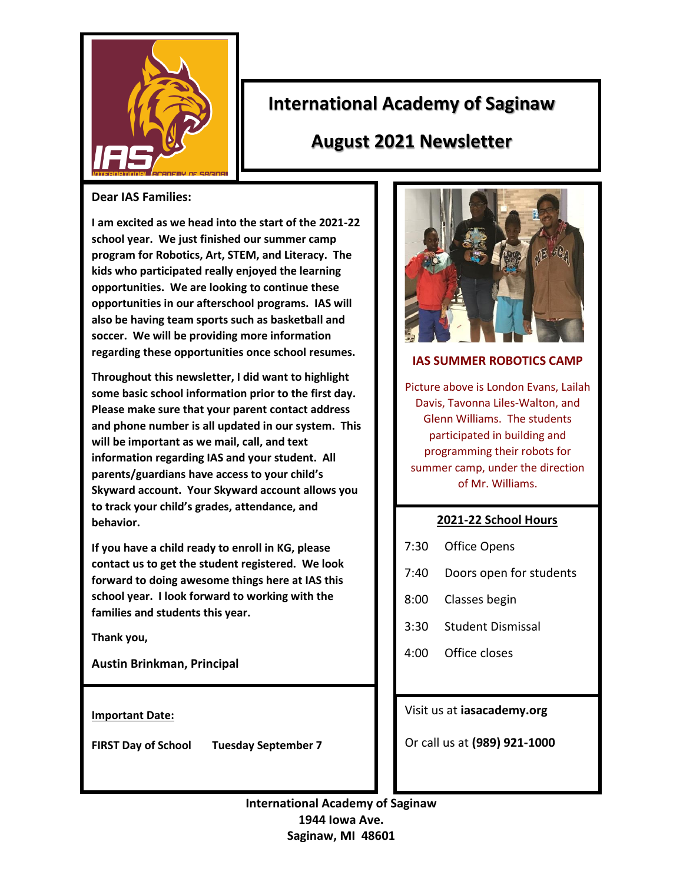

# **International Academy of Saginaw**

# **August 2021 Newsletter**

#### **Dear IAS Families:**

**I am excited as we head into the start of the 2021-22 school year. We just finished our summer camp program for Robotics, Art, STEM, and Literacy. The kids who participated really enjoyed the learning opportunities. We are looking to continue these opportunities in our afterschool programs. IAS will also be having team sports such as basketball and soccer. We will be providing more information regarding these opportunities once school resumes.**

**Throughout this newsletter, I did want to highlight some basic school information prior to the first day. Please make sure that your parent contact address and phone number is all updated in our system. This will be important as we mail, call, and text information regarding IAS and your student. All parents/guardians have access to your child's Skyward account. Your Skyward account allows you to track your child's grades, attendance, and behavior.** 

**If you have a child ready to enroll in KG, please contact us to get the student registered. We look forward to doing awesome things here at IAS this school year. I look forward to working with the families and students this year.**

**Thank you,**

**Austin Brinkman, Principal**

**Important Date:**

**FIRST Day of School Tuesday September 7**



#### **IAS SUMMER ROBOTICS CAMP**

Picture above is London Evans, Lailah Davis, Tavonna Liles-Walton, and Glenn Williams. The students participated in building and programming their robots for summer camp, under the direction of Mr. Williams.

## **2021-22 School Hours**

- 7:30 Office Opens
- 7:40 Doors open for students
- 8:00 Classes begin
- 3:30 Student Dismissal
- 4:00 Office closes

## Visit us at **iasacademy.org**

Or call us at **(989) 921-1000**

**International Academy of Saginaw 1944 Iowa Ave. Saginaw, MI 48601**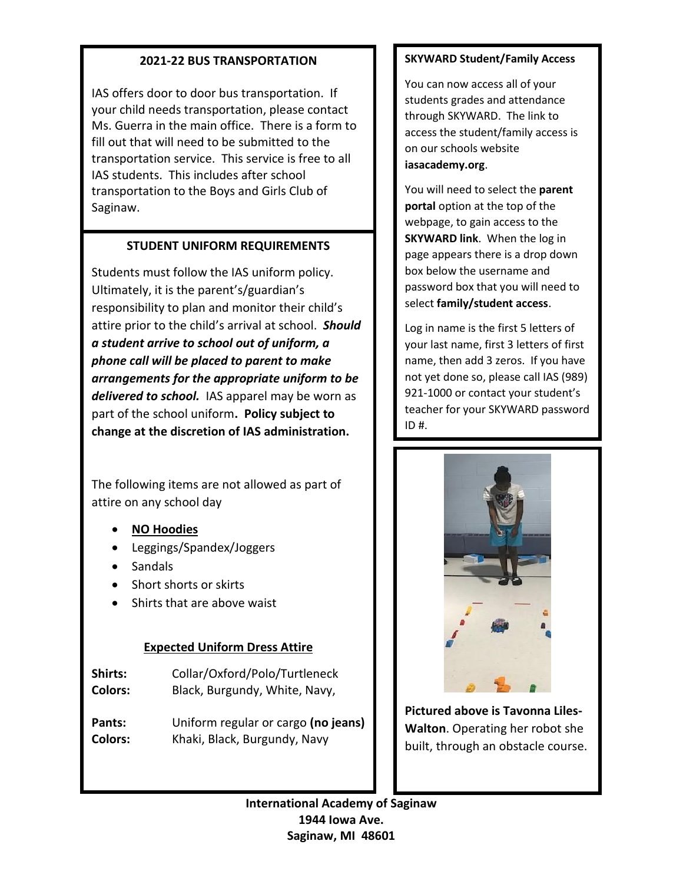## **2021-22 BUS TRANSPORTATION**

IAS offers door to door bus transportation. If your child needs transportation, please contact Ms. Guerra in the main office. There is a form to fill out that will need to be submitted to the transportation service. This service is free to all IAS students. This includes after school transportation to the Boys and Girls Club of Saginaw.

# **STUDENT UNIFORM REQUIREMENTS**

Students must follow the IAS uniform policy. Ultimately, it is the parent's/guardian's responsibility to plan and monitor their child's attire prior to the child's arrival at school. *Should a student arrive to school out of uniform, a phone call will be placed to parent to make arrangements for the appropriate uniform to be delivered to school.* IAS apparel may be worn as part of the school uniform**. Policy subject to change at the discretion of IAS administration.**

The following items are not allowed as part of attire on any school day

- **NO Hoodies**
- Leggings/Spandex/Joggers
- Sandals
- Short shorts or skirts
- Shirts that are above waist

# **Expected Uniform Dress Attire**

**Shirts:** Collar/Oxford/Polo/Turtleneck **Colors:** Black, Burgundy, White, Navy,

**Pants:** Uniform regular or cargo **(no jeans) Colors:** Khaki, Black, Burgundy, Navy

## **SKYWARD Student/Family Access**

You can now access all of your students grades and attendance through SKYWARD. The link to access the student/family access is on our schools website **iasacademy.org**.

You will need to select the **parent portal** option at the top of the webpage, to gain access to the **SKYWARD link**. When the log in page appears there is a drop down box below the username and password box that you will need to select **family/student access**.

Log in name is the first 5 letters of your last name, first 3 letters of first name, then add 3 zeros. If you have not yet done so, please call IAS (989) 921-1000 or contact your student's teacher for your SKYWARD password ID #.



**Pictured above is Tavonna Liles-Walton**. Operating her robot she built, through an obstacle course.

**International Academy of Saginaw 1944 Iowa Ave. Saginaw, MI 48601**